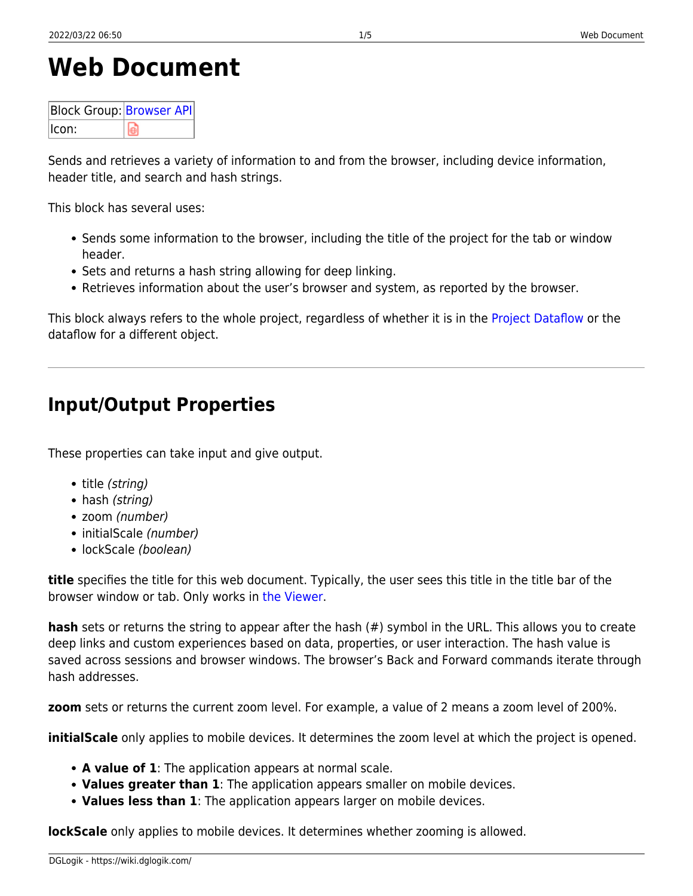# **Web Document**

| Block Group: Browser API |  |
|--------------------------|--|
| $II$ con:                |  |

Sends and retrieves a variety of information to and from the browser, including device information, header title, and search and hash strings.

This block has several uses:

- Sends some information to the browser, including the title of the project for the tab or window header.
- Sets and returns a hash string allowing for deep linking.
- Retrieves information about the user's browser and system, as reported by the browser.

This block always refers to the whole project, regardless of whether it is in the [Project Dataflow](https://wiki.dglogik.com/dglux5_wiki:dataflow:project_dataflow:home) or the dataflow for a different object.

## **Input/Output Properties**

These properties can take input and give output.

- $\bullet$  title (string)
- hash (string)
- zoom (number)
- initialScale (number)
- lockScale (boolean)

**title** specifies the title for this web document. Typically, the user sees this title in the title bar of the browser window or tab. Only works in [the Viewer](https://wiki.dglogik.com/dglux5_wiki:workspace_and_workflow:viewer:home).

**hash** sets or returns the string to appear after the hash (#) symbol in the URL. This allows you to create deep links and custom experiences based on data, properties, or user interaction. The hash value is saved across sessions and browser windows. The browser's Back and Forward commands iterate through hash addresses.

**zoom** sets or returns the current zoom level. For example, a value of 2 means a zoom level of 200%.

**initialScale** only applies to mobile devices. It determines the zoom level at which the project is opened.

- **A value of 1**: The application appears at normal scale.
- **Values greater than 1**: The application appears smaller on mobile devices.
- **Values less than 1**: The application appears larger on mobile devices.

**lockScale** only applies to mobile devices. It determines whether zooming is allowed.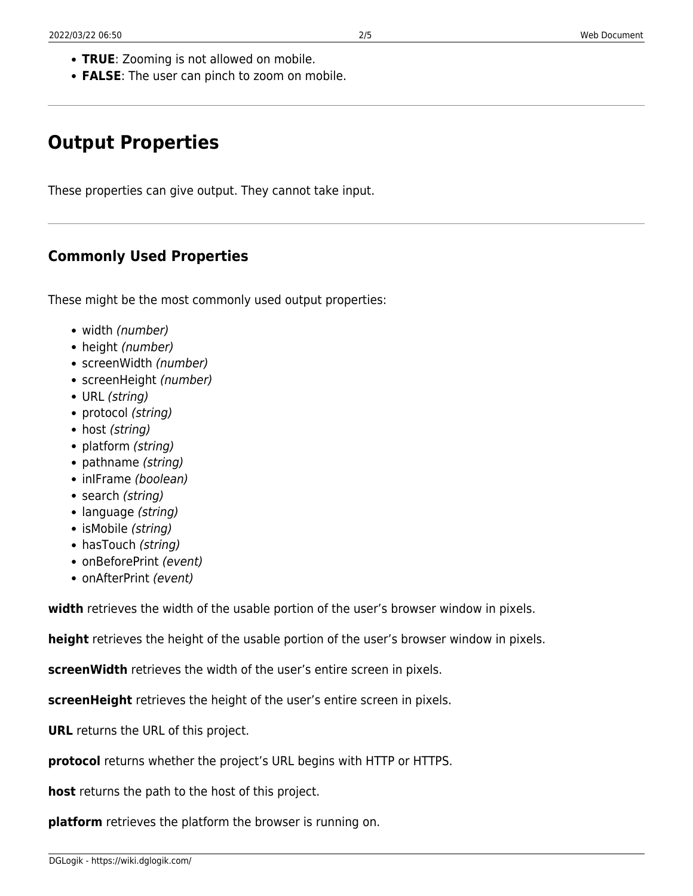- **TRUE**: Zooming is not allowed on mobile.
- **FALSE**: The user can pinch to zoom on mobile.

### **Output Properties**

These properties can give output. They cannot take input.

#### **Commonly Used Properties**

These might be the most commonly used output properties:

- width (number)
- height (number)
- screenWidth (number)
- screenHeight (number)
- URL (string)
- protocol (string)
- host (string)
- platform (string)
- pathname (string)
- inIFrame (boolean)
- search (string)
- language *(string)*
- isMobile (string)
- hasTouch (string)
- onBeforePrint (event)
- onAfterPrint (event)

**width** retrieves the width of the usable portion of the user's browser window in pixels.

**height** retrieves the height of the usable portion of the user's browser window in pixels.

**screenWidth** retrieves the width of the user's entire screen in pixels.

**screenHeight** retrieves the height of the user's entire screen in pixels.

**URL** returns the URL of this project.

**protocol** returns whether the project's URL begins with HTTP or HTTPS.

**host** returns the path to the host of this project.

**platform** retrieves the platform the browser is running on.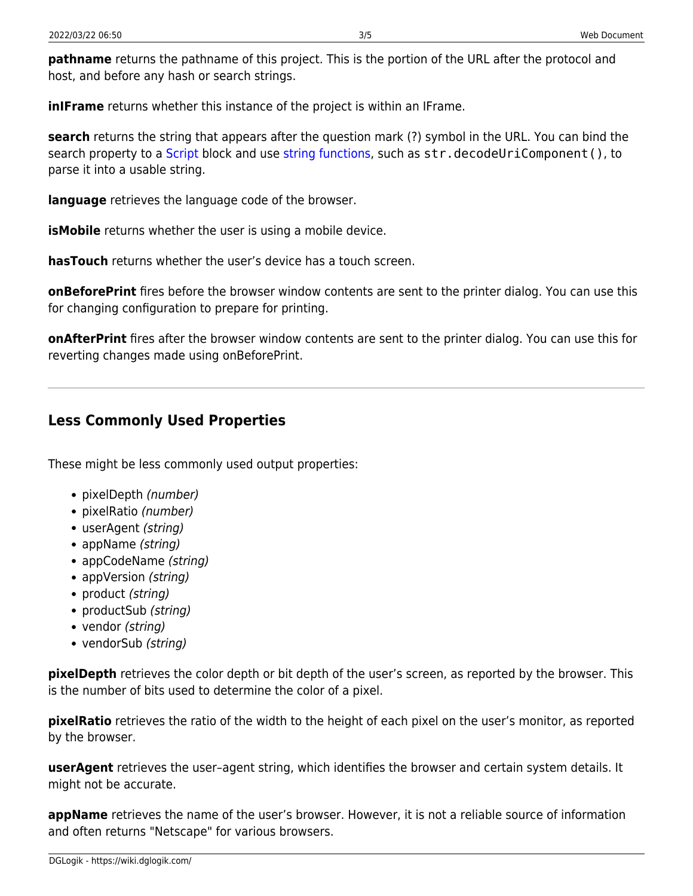**pathname** returns the pathname of this project. This is the portion of the URL after the protocol and host, and before any hash or search strings.

**inIFrame** returns whether this instance of the project is within an IFrame.

**search** returns the string that appears after the question mark (?) symbol in the URL. You can bind the search property to a [Script](https://wiki.dglogik.com/dglux5_wiki:dataflow:dataflow_blocks_reference:logic:script) block and use [string functions,](https://wiki.dglogik.com/dglux5_wiki:dgscript:home#string) such as str.decodeUriComponent(), to parse it into a usable string.

**language** retrieves the language code of the browser.

**isMobile** returns whether the user is using a mobile device.

**hasTouch** returns whether the user's device has a touch screen.

**onBeforePrint** fires before the browser window contents are sent to the printer dialog. You can use this for changing configuration to prepare for printing.

**onAfterPrint** fires after the browser window contents are sent to the printer dialog. You can use this for reverting changes made using onBeforePrint.

#### **Less Commonly Used Properties**

These might be less commonly used output properties:

- pixelDepth (number)
- pixelRatio (number)
- userAgent (string)
- appName (string)
- appCodeName (string)
- appVersion (string)
- product *(string)*
- productSub (string)
- vendor *(string)*
- vendorSub (string)

**pixelDepth** retrieves the color depth or bit depth of the user's screen, as reported by the browser. This is the number of bits used to determine the color of a pixel.

**pixelRatio** retrieves the ratio of the width to the height of each pixel on the user's monitor, as reported by the browser.

**userAgent** retrieves the user–agent string, which identifies the browser and certain system details. It might not be accurate.

**appName** retrieves the name of the user's browser. However, it is not a reliable source of information and often returns "Netscape" for various browsers.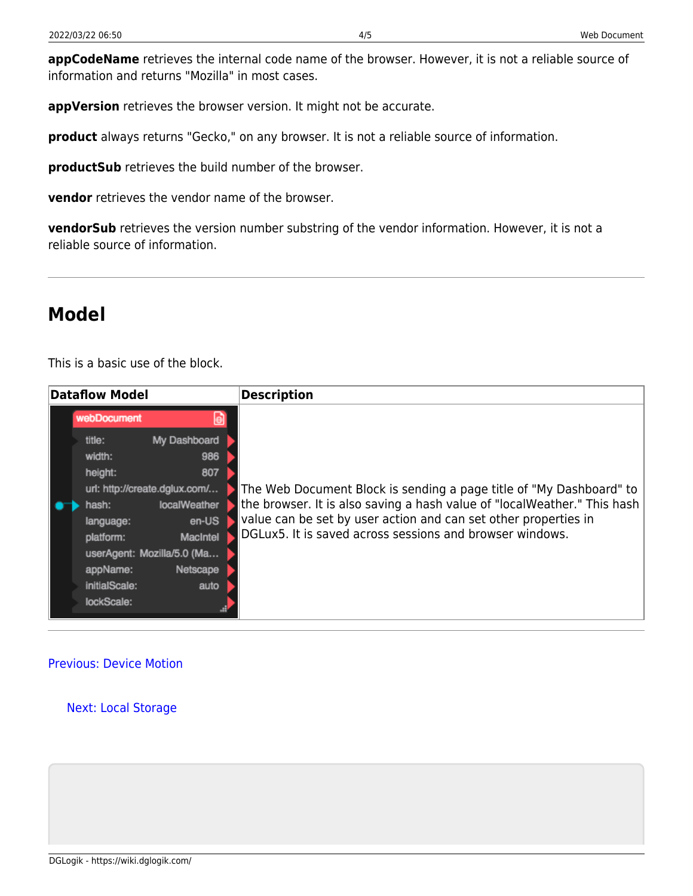**appCodeName** retrieves the internal code name of the browser. However, it is not a reliable source of information and returns "Mozilla" in most cases.

**appVersion** retrieves the browser version. It might not be accurate.

**product** always returns "Gecko," on any browser. It is not a reliable source of information.

**productSub** retrieves the build number of the browser.

**vendor** retrieves the vendor name of the browser.

**vendorSub** retrieves the version number substring of the vendor information. However, it is not a reliable source of information.

### **Model**

This is a basic use of the block.

| <b>Dataflow Model</b> |                                                                                                           |                                                                                                                                                    | <b>Description</b>                                                                                                                                                                                                                                                             |
|-----------------------|-----------------------------------------------------------------------------------------------------------|----------------------------------------------------------------------------------------------------------------------------------------------------|--------------------------------------------------------------------------------------------------------------------------------------------------------------------------------------------------------------------------------------------------------------------------------|
|                       | webDocument                                                                                               |                                                                                                                                                    |                                                                                                                                                                                                                                                                                |
|                       | title:<br>width:<br>height:<br>hash:<br>language:<br>platform:<br>appName:<br>initialScale:<br>lockScale: | My Dashboard<br>986<br>807<br>url: http://create.dglux.com/<br>localWeather<br>en-US<br>MacIntel<br>userAgent: Mozilla/5.0 (Ma<br>Netscape<br>auto | The Web Document Block is sending a page title of "My Dashboard" to<br>the browser. It is also saving a hash value of "localWeather." This hash<br>value can be set by user action and can set other properties in<br>DGLux5. It is saved across sessions and browser windows. |

#### [Previous: Device Motion](https://wiki.dglogik.com/dglux5_wiki:dataflow:dataflow_blocks_reference:browser_api:device-motion)

[Next: Local Storage](https://wiki.dglogik.com/dglux5_wiki:dataflow:dataflow_blocks_reference:browser_api:local_storage)